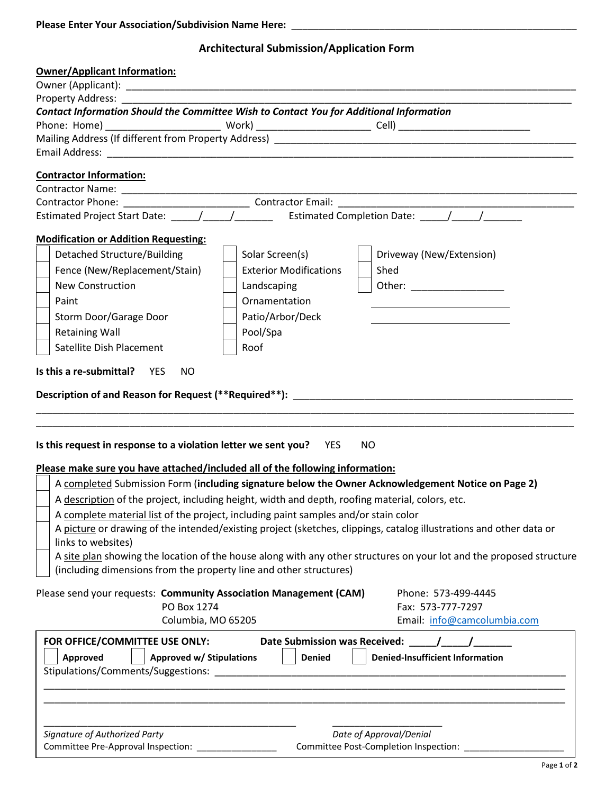| <b>Please Enter Your Association/Subdivision Name Here:</b> |  |
|-------------------------------------------------------------|--|
|                                                             |  |

## **Architectural Submission/Application Form**

| <b>Owner/Applicant Information:</b>                                                                                                                              |                                                                                                                      |  |  |  |
|------------------------------------------------------------------------------------------------------------------------------------------------------------------|----------------------------------------------------------------------------------------------------------------------|--|--|--|
|                                                                                                                                                                  |                                                                                                                      |  |  |  |
|                                                                                                                                                                  |                                                                                                                      |  |  |  |
|                                                                                                                                                                  | Contact Information Should the Committee Wish to Contact You for Additional Information                              |  |  |  |
|                                                                                                                                                                  |                                                                                                                      |  |  |  |
|                                                                                                                                                                  |                                                                                                                      |  |  |  |
|                                                                                                                                                                  |                                                                                                                      |  |  |  |
| <b>Contractor Information:</b>                                                                                                                                   |                                                                                                                      |  |  |  |
|                                                                                                                                                                  |                                                                                                                      |  |  |  |
| <u> 2000 - Jan James James James James James James James James James James James James James James James James J</u><br>Estimated Completion Date: \[\standal \] |                                                                                                                      |  |  |  |
|                                                                                                                                                                  |                                                                                                                      |  |  |  |
| <b>Modification or Addition Requesting:</b>                                                                                                                      |                                                                                                                      |  |  |  |
| <b>Detached Structure/Building</b>                                                                                                                               | Solar Screen(s)<br>Driveway (New/Extension)                                                                          |  |  |  |
| Fence (New/Replacement/Stain)                                                                                                                                    | <b>Exterior Modifications</b><br>Shed                                                                                |  |  |  |
| <b>New Construction</b>                                                                                                                                          | Other: ___________________<br>Landscaping                                                                            |  |  |  |
| Paint                                                                                                                                                            | Ornamentation                                                                                                        |  |  |  |
| Storm Door/Garage Door                                                                                                                                           | Patio/Arbor/Deck                                                                                                     |  |  |  |
| <b>Retaining Wall</b>                                                                                                                                            | Pool/Spa                                                                                                             |  |  |  |
|                                                                                                                                                                  |                                                                                                                      |  |  |  |
| Satellite Dish Placement                                                                                                                                         | Roof                                                                                                                 |  |  |  |
| Is this request in response to a violation letter we sent you? YES<br>Please make sure you have attached/included all of the following information:              | Description of and Reason for Request (**Required**): ___________________________<br>NO                              |  |  |  |
|                                                                                                                                                                  | A completed Submission Form (including signature below the Owner Acknowledgement Notice on Page 2)                   |  |  |  |
|                                                                                                                                                                  | A description of the project, including height, width and depth, roofing material, colors, etc.                      |  |  |  |
|                                                                                                                                                                  | A complete material list of the project, including paint samples and/or stain color                                  |  |  |  |
| links to websites)                                                                                                                                               | A picture or drawing of the intended/existing project (sketches, clippings, catalog illustrations and other data or  |  |  |  |
|                                                                                                                                                                  | A site plan showing the location of the house along with any other structures on your lot and the proposed structure |  |  |  |
| (including dimensions from the property line and other structures)                                                                                               |                                                                                                                      |  |  |  |
| Please send your requests: Community Association Management (CAM)<br>PO Box 1274<br>Columbia, MO 65205                                                           | Phone: 573-499-4445<br>Fax: 573-777-7297<br>Email: info@camcolumbia.com                                              |  |  |  |
| FOR OFFICE/COMMITTEE USE ONLY:                                                                                                                                   |                                                                                                                      |  |  |  |
| Approved<br><b>Approved w/ Stipulations</b>                                                                                                                      | <b>Denied</b><br><b>Denied-Insufficient Information</b>                                                              |  |  |  |
|                                                                                                                                                                  |                                                                                                                      |  |  |  |
|                                                                                                                                                                  |                                                                                                                      |  |  |  |
|                                                                                                                                                                  |                                                                                                                      |  |  |  |
|                                                                                                                                                                  |                                                                                                                      |  |  |  |
|                                                                                                                                                                  |                                                                                                                      |  |  |  |
| Signature of Authorized Party                                                                                                                                    | Date of Approval/Denial                                                                                              |  |  |  |
| Committee Pre-Approval Inspection: ________________                                                                                                              | Committee Post-Completion Inspection: ______________                                                                 |  |  |  |